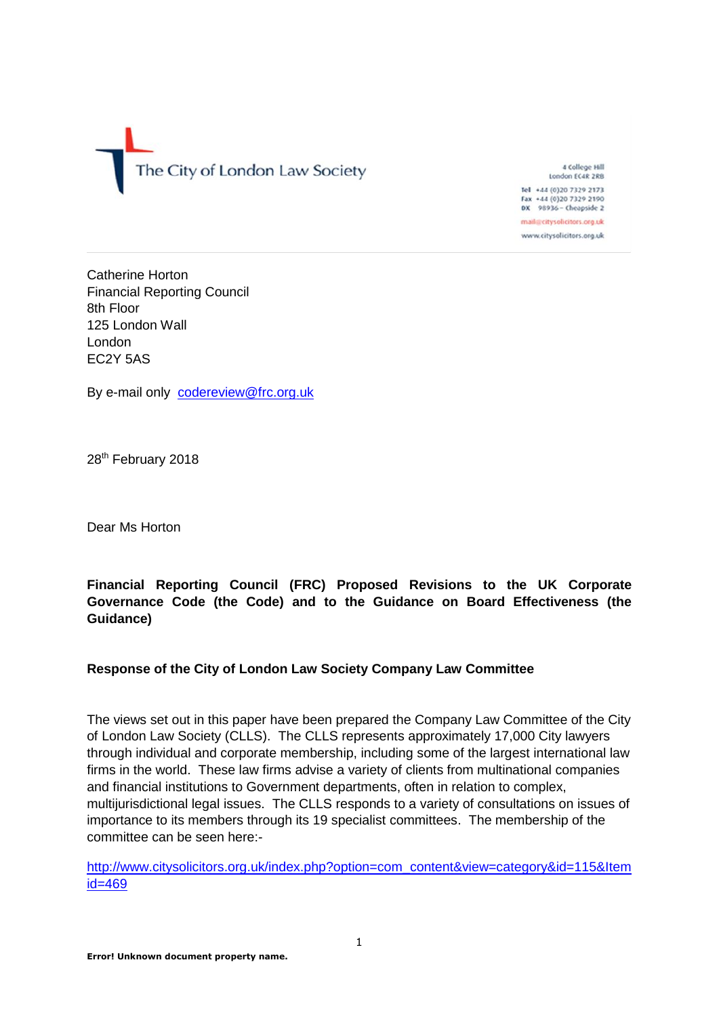

4 College Hill London EC4R 2RB

Tel +44 (0)20 7329 2173 Fax +44 (0)20 7329 2190<br>DX 98936 - Cheapside 2

mail@citysolicitors.org.uk www.citysolicitors.org.uk

Catherine Horton Financial Reporting Council 8th Floor 125 London Wall London EC2Y 5AS

By e-mail only [codereview@frc.org.uk](mailto:codereview@frc.org.uk)

28<sup>th</sup> February 2018

Dear Ms Horton

# **Financial Reporting Council (FRC) Proposed Revisions to the UK Corporate Governance Code (the Code) and to the Guidance on Board Effectiveness (the Guidance)**

# **Response of the City of London Law Society Company Law Committee**

The views set out in this paper have been prepared the Company Law Committee of the City of London Law Society (CLLS). The CLLS represents approximately 17,000 City lawyers through individual and corporate membership, including some of the largest international law firms in the world. These law firms advise a variety of clients from multinational companies and financial institutions to Government departments, often in relation to complex, multijurisdictional legal issues. The CLLS responds to a variety of consultations on issues of importance to its members through its 19 specialist committees. The membership of the committee can be seen here:-

[http://www.citysolicitors.org.uk/index.php?option=com\\_content&view=category&id=115&Item](http://www.citysolicitors.org.uk/index.php?option=com_content&view=category&id=115&Itemid=469) [id=469](http://www.citysolicitors.org.uk/index.php?option=com_content&view=category&id=115&Itemid=469)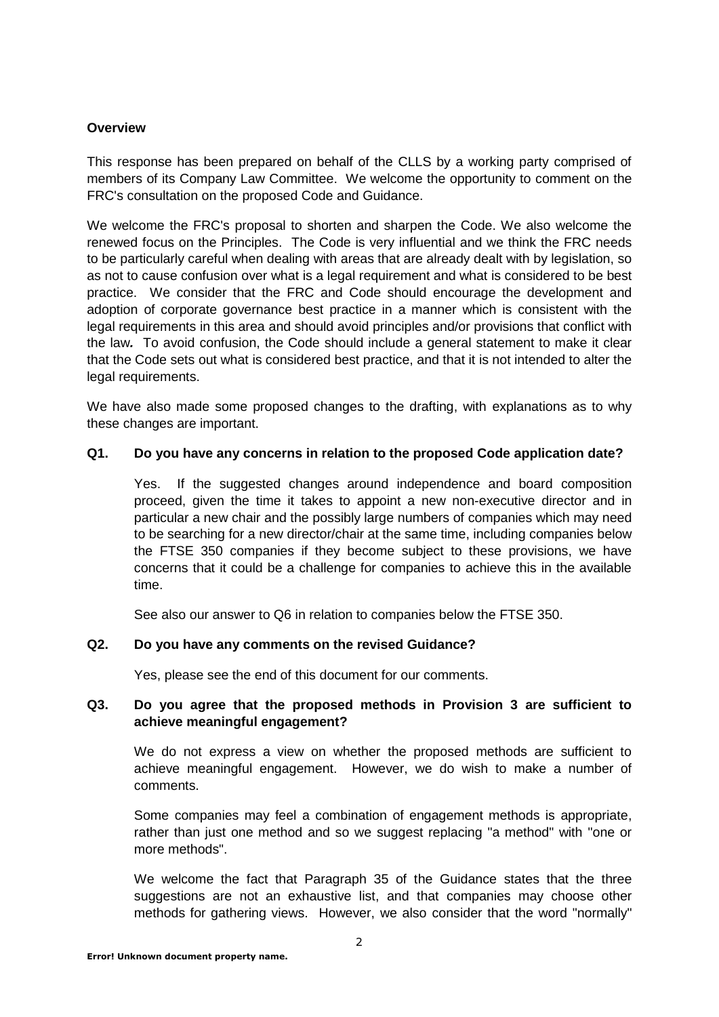## **Overview**

This response has been prepared on behalf of the CLLS by a working party comprised of members of its Company Law Committee. We welcome the opportunity to comment on the FRC's consultation on the proposed Code and Guidance.

We welcome the FRC's proposal to shorten and sharpen the Code. We also welcome the renewed focus on the Principles. The Code is very influential and we think the FRC needs to be particularly careful when dealing with areas that are already dealt with by legislation, so as not to cause confusion over what is a legal requirement and what is considered to be best practice. We consider that the FRC and Code should encourage the development and adoption of corporate governance best practice in a manner which is consistent with the legal requirements in this area and should avoid principles and/or provisions that conflict with the law*.* To avoid confusion, the Code should include a general statement to make it clear that the Code sets out what is considered best practice, and that it is not intended to alter the legal requirements.

We have also made some proposed changes to the drafting, with explanations as to why these changes are important.

#### **Q1. Do you have any concerns in relation to the proposed Code application date?**

Yes. If the suggested changes around independence and board composition proceed, given the time it takes to appoint a new non-executive director and in particular a new chair and the possibly large numbers of companies which may need to be searching for a new director/chair at the same time, including companies below the FTSE 350 companies if they become subject to these provisions, we have concerns that it could be a challenge for companies to achieve this in the available time.

See also our answer to Q6 in relation to companies below the FTSE 350.

## **Q2. Do you have any comments on the revised Guidance?**

Yes, please see the end of this document for our comments.

## **Q3. Do you agree that the proposed methods in Provision 3 are sufficient to achieve meaningful engagement?**

We do not express a view on whether the proposed methods are sufficient to achieve meaningful engagement. However, we do wish to make a number of comments.

Some companies may feel a combination of engagement methods is appropriate, rather than just one method and so we suggest replacing "a method" with "one or more methods".

We welcome the fact that Paragraph 35 of the Guidance states that the three suggestions are not an exhaustive list, and that companies may choose other methods for gathering views. However, we also consider that the word "normally"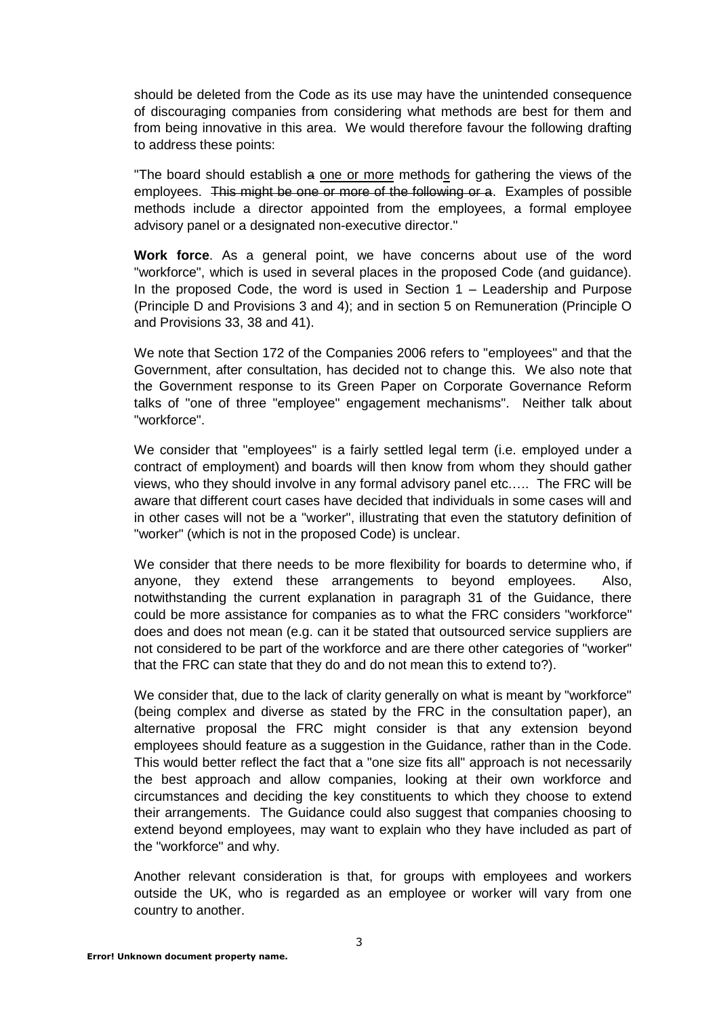should be deleted from the Code as its use may have the unintended consequence of discouraging companies from considering what methods are best for them and from being innovative in this area. We would therefore favour the following drafting to address these points:

The board should establish a one or more methods for gathering the views of the employees. This might be one or more of the following or a. Examples of possible methods include a director appointed from the employees, a formal employee advisory panel or a designated non-executive director."

**Work force**. As a general point, we have concerns about use of the word "workforce", which is used in several places in the proposed Code (and guidance). In the proposed Code, the word is used in Section  $1 -$  Leadership and Purpose (Principle D and Provisions 3 and 4); and in section 5 on Remuneration (Principle O and Provisions 33, 38 and 41).

We note that Section 172 of the Companies 2006 refers to "employees" and that the Government, after consultation, has decided not to change this. We also note that the Government response to its Green Paper on Corporate Governance Reform talks of "one of three "employee" engagement mechanisms". Neither talk about "workforce".

We consider that "employees" is a fairly settled legal term (i.e. employed under a contract of employment) and boards will then know from whom they should gather views, who they should involve in any formal advisory panel etc.…. The FRC will be aware that different court cases have decided that individuals in some cases will and in other cases will not be a "worker", illustrating that even the statutory definition of "worker" (which is not in the proposed Code) is unclear.

We consider that there needs to be more flexibility for boards to determine who, if anyone, they extend these arrangements to beyond employees. Also, notwithstanding the current explanation in paragraph 31 of the Guidance, there could be more assistance for companies as to what the FRC considers "workforce" does and does not mean (e.g. can it be stated that outsourced service suppliers are not considered to be part of the workforce and are there other categories of "worker" that the FRC can state that they do and do not mean this to extend to?).

We consider that, due to the lack of clarity generally on what is meant by "workforce" (being complex and diverse as stated by the FRC in the consultation paper), an alternative proposal the FRC might consider is that any extension beyond employees should feature as a suggestion in the Guidance, rather than in the Code. This would better reflect the fact that a "one size fits all" approach is not necessarily the best approach and allow companies, looking at their own workforce and circumstances and deciding the key constituents to which they choose to extend their arrangements. The Guidance could also suggest that companies choosing to extend beyond employees, may want to explain who they have included as part of the "workforce" and why.

Another relevant consideration is that, for groups with employees and workers outside the UK, who is regarded as an employee or worker will vary from one country to another.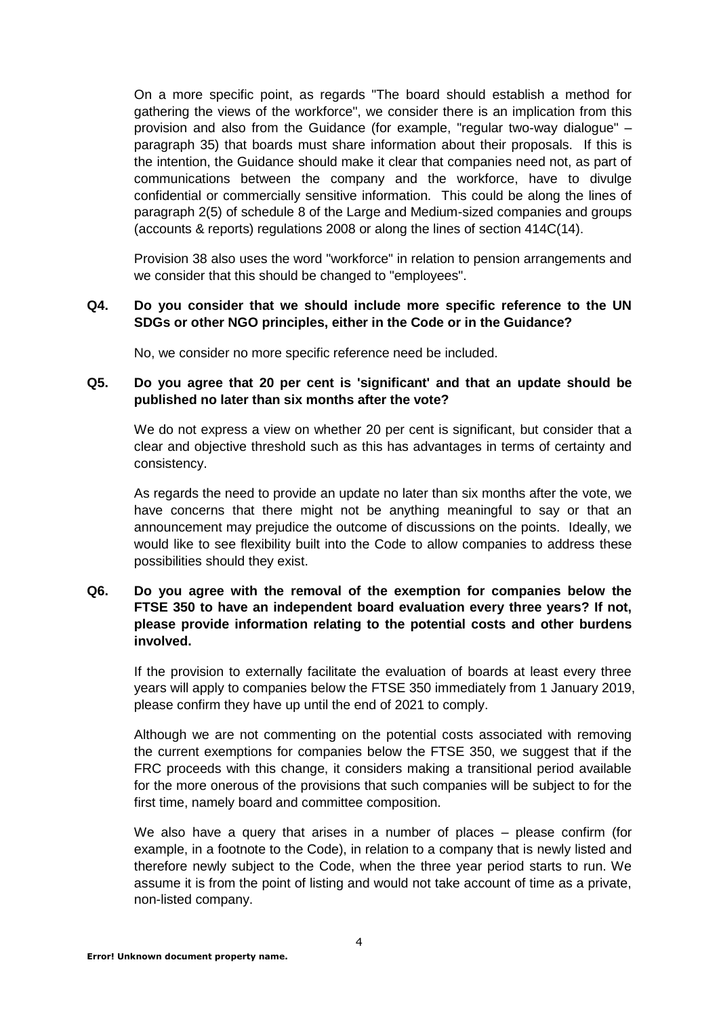On a more specific point, as regards "The board should establish a method for gathering the views of the workforce", we consider there is an implication from this provision and also from the Guidance (for example, "regular two-way dialogue" – paragraph 35) that boards must share information about their proposals. If this is the intention, the Guidance should make it clear that companies need not, as part of communications between the company and the workforce, have to divulge confidential or commercially sensitive information. This could be along the lines of paragraph 2(5) of schedule 8 of the Large and Medium-sized companies and groups (accounts & reports) regulations 2008 or along the lines of section 414C(14).

Provision 38 also uses the word "workforce" in relation to pension arrangements and we consider that this should be changed to "employees".

#### **Q4. Do you consider that we should include more specific reference to the UN SDGs or other NGO principles, either in the Code or in the Guidance?**

No, we consider no more specific reference need be included.

#### **Q5. Do you agree that 20 per cent is 'significant' and that an update should be published no later than six months after the vote?**

We do not express a view on whether 20 per cent is significant, but consider that a clear and objective threshold such as this has advantages in terms of certainty and consistency.

As regards the need to provide an update no later than six months after the vote, we have concerns that there might not be anything meaningful to say or that an announcement may prejudice the outcome of discussions on the points. Ideally, we would like to see flexibility built into the Code to allow companies to address these possibilities should they exist.

## **Q6. Do you agree with the removal of the exemption for companies below the FTSE 350 to have an independent board evaluation every three years? If not, please provide information relating to the potential costs and other burdens involved.**

If the provision to externally facilitate the evaluation of boards at least every three years will apply to companies below the FTSE 350 immediately from 1 January 2019, please confirm they have up until the end of 2021 to comply.

Although we are not commenting on the potential costs associated with removing the current exemptions for companies below the FTSE 350, we suggest that if the FRC proceeds with this change, it considers making a transitional period available for the more onerous of the provisions that such companies will be subject to for the first time, namely board and committee composition.

We also have a query that arises in a number of places – please confirm (for example, in a footnote to the Code), in relation to a company that is newly listed and therefore newly subject to the Code, when the three year period starts to run. We assume it is from the point of listing and would not take account of time as a private, non-listed company.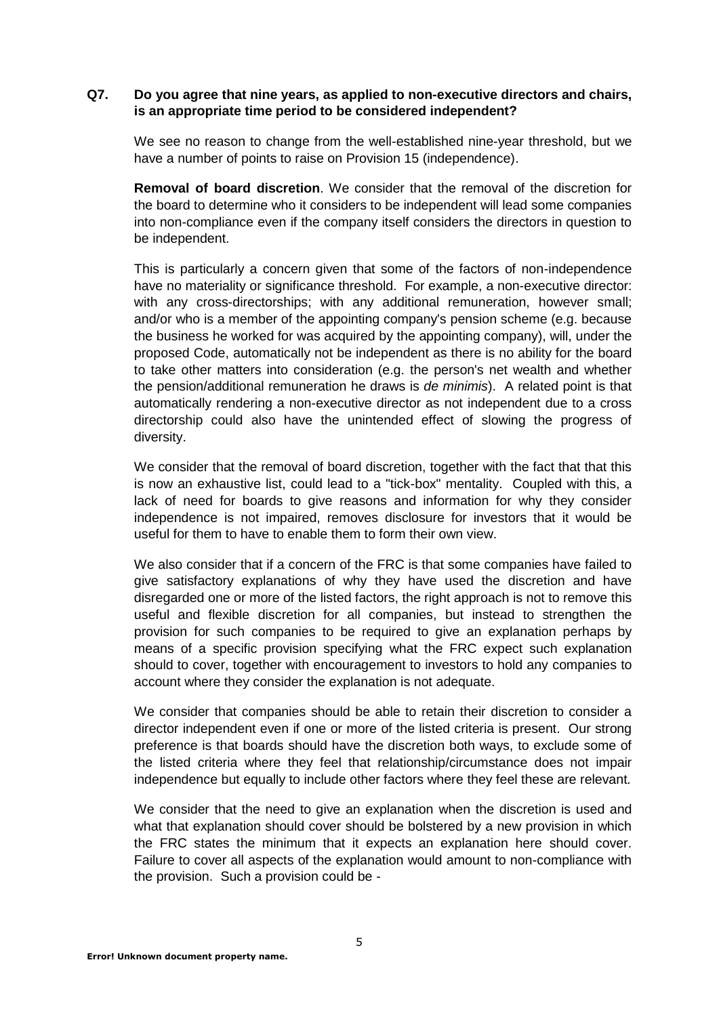## **Q7. Do you agree that nine years, as applied to non-executive directors and chairs, is an appropriate time period to be considered independent?**

We see no reason to change from the well-established nine-year threshold, but we have a number of points to raise on Provision 15 (independence).

**Removal of board discretion**. We consider that the removal of the discretion for the board to determine who it considers to be independent will lead some companies into non-compliance even if the company itself considers the directors in question to be independent.

This is particularly a concern given that some of the factors of non-independence have no materiality or significance threshold. For example, a non-executive director: with any cross-directorships; with any additional remuneration, however small; and/or who is a member of the appointing company's pension scheme (e.g. because the business he worked for was acquired by the appointing company), will, under the proposed Code, automatically not be independent as there is no ability for the board to take other matters into consideration (e.g. the person's net wealth and whether the pension/additional remuneration he draws is *de minimis*). A related point is that automatically rendering a non-executive director as not independent due to a cross directorship could also have the unintended effect of slowing the progress of diversity.

We consider that the removal of board discretion, together with the fact that that this is now an exhaustive list, could lead to a "tick-box" mentality. Coupled with this, a lack of need for boards to give reasons and information for why they consider independence is not impaired, removes disclosure for investors that it would be useful for them to have to enable them to form their own view.

We also consider that if a concern of the FRC is that some companies have failed to give satisfactory explanations of why they have used the discretion and have disregarded one or more of the listed factors, the right approach is not to remove this useful and flexible discretion for all companies, but instead to strengthen the provision for such companies to be required to give an explanation perhaps by means of a specific provision specifying what the FRC expect such explanation should to cover, together with encouragement to investors to hold any companies to account where they consider the explanation is not adequate.

We consider that companies should be able to retain their discretion to consider a director independent even if one or more of the listed criteria is present. Our strong preference is that boards should have the discretion both ways, to exclude some of the listed criteria where they feel that relationship/circumstance does not impair independence but equally to include other factors where they feel these are relevant*.*

We consider that the need to give an explanation when the discretion is used and what that explanation should cover should be bolstered by a new provision in which the FRC states the minimum that it expects an explanation here should cover. Failure to cover all aspects of the explanation would amount to non-compliance with the provision. Such a provision could be -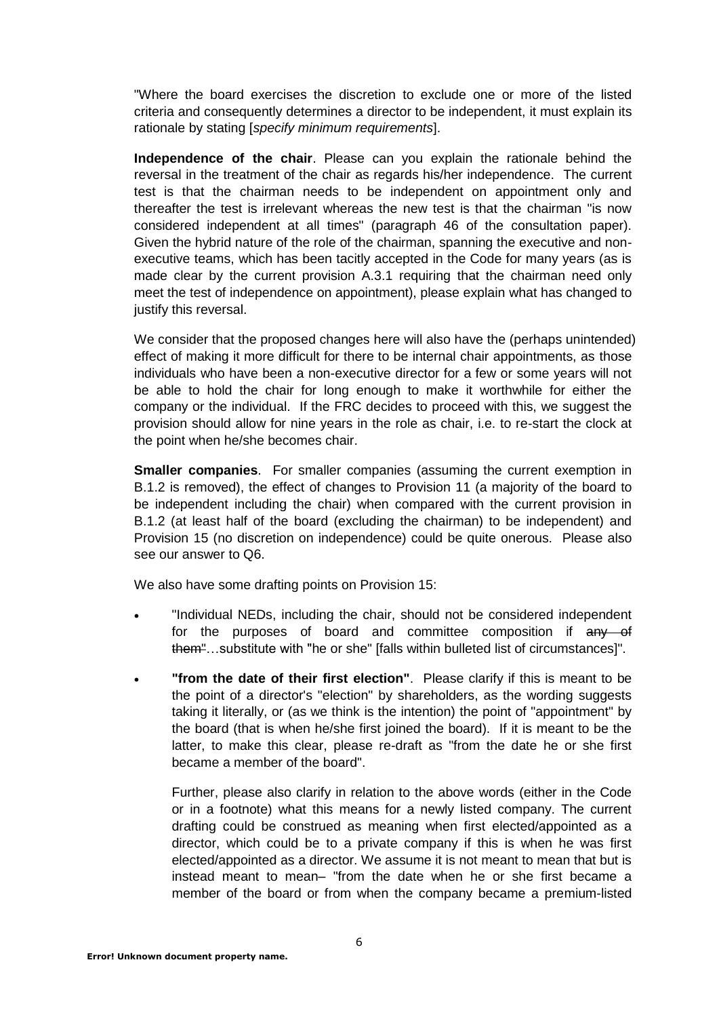"Where the board exercises the discretion to exclude one or more of the listed criteria and consequently determines a director to be independent, it must explain its rationale by stating [*specify minimum requirements*].

**Independence of the chair**. Please can you explain the rationale behind the reversal in the treatment of the chair as regards his/her independence. The current test is that the chairman needs to be independent on appointment only and thereafter the test is irrelevant whereas the new test is that the chairman "is now considered independent at all times" (paragraph 46 of the consultation paper). Given the hybrid nature of the role of the chairman, spanning the executive and nonexecutive teams, which has been tacitly accepted in the Code for many years (as is made clear by the current provision A.3.1 requiring that the chairman need only meet the test of independence on appointment), please explain what has changed to justify this reversal.

We consider that the proposed changes here will also have the (perhaps unintended) effect of making it more difficult for there to be internal chair appointments, as those individuals who have been a non-executive director for a few or some years will not be able to hold the chair for long enough to make it worthwhile for either the company or the individual. If the FRC decides to proceed with this, we suggest the provision should allow for nine years in the role as chair, i.e. to re-start the clock at the point when he/she becomes chair.

**Smaller companies**. For smaller companies (assuming the current exemption in B.1.2 is removed), the effect of changes to Provision 11 (a majority of the board to be independent including the chair) when compared with the current provision in B.1.2 (at least half of the board (excluding the chairman) to be independent) and Provision 15 (no discretion on independence) could be quite onerous. Please also see our answer to Q6.

We also have some drafting points on Provision 15:

- "Individual NEDs, including the chair, should not be considered independent for the purposes of board and committee composition if any of them"…substitute with "he or she" [falls within bulleted list of circumstances]".
- **"from the date of their first election"**. Please clarify if this is meant to be the point of a director's "election" by shareholders, as the wording suggests taking it literally, or (as we think is the intention) the point of "appointment" by the board (that is when he/she first joined the board). If it is meant to be the latter, to make this clear, please re-draft as "from the date he or she first became a member of the board".

Further, please also clarify in relation to the above words (either in the Code or in a footnote) what this means for a newly listed company. The current drafting could be construed as meaning when first elected/appointed as a director, which could be to a private company if this is when he was first elected/appointed as a director. We assume it is not meant to mean that but is instead meant to mean– "from the date when he or she first became a member of the board or from when the company became a premium-listed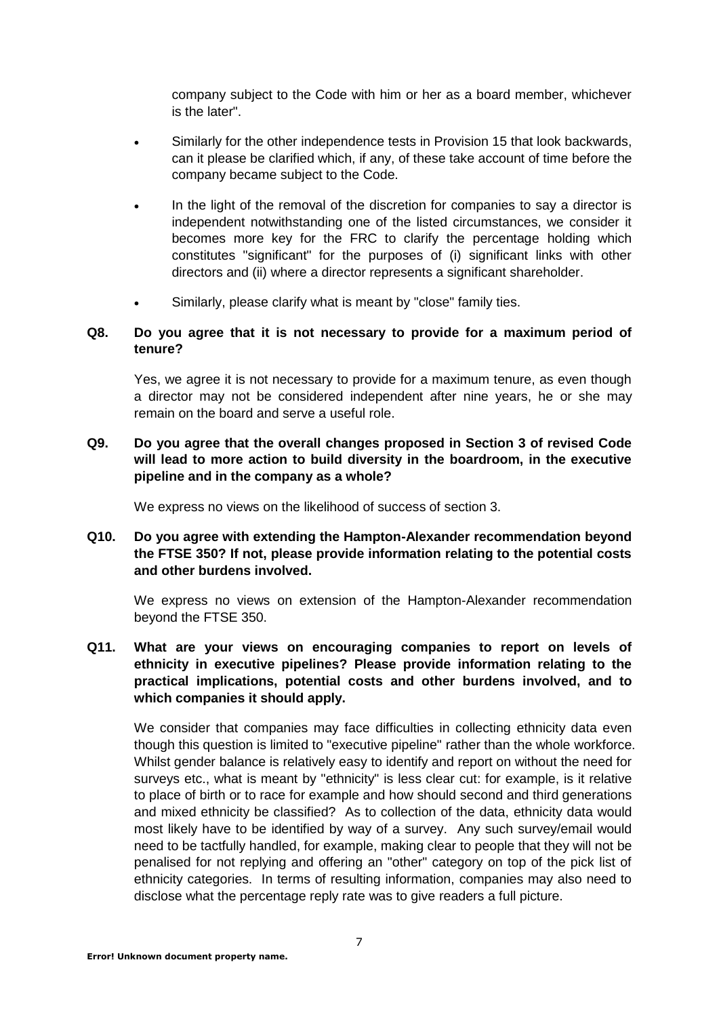company subject to the Code with him or her as a board member, whichever is the later".

- Similarly for the other independence tests in Provision 15 that look backwards, can it please be clarified which, if any, of these take account of time before the company became subject to the Code.
- In the light of the removal of the discretion for companies to say a director is independent notwithstanding one of the listed circumstances, we consider it becomes more key for the FRC to clarify the percentage holding which constitutes "significant" for the purposes of (i) significant links with other directors and (ii) where a director represents a significant shareholder.
- Similarly, please clarify what is meant by "close" family ties.

## **Q8. Do you agree that it is not necessary to provide for a maximum period of tenure?**

Yes, we agree it is not necessary to provide for a maximum tenure, as even though a director may not be considered independent after nine years, he or she may remain on the board and serve a useful role.

## **Q9. Do you agree that the overall changes proposed in Section 3 of revised Code will lead to more action to build diversity in the boardroom, in the executive pipeline and in the company as a whole?**

We express no views on the likelihood of success of section 3.

## **Q10. Do you agree with extending the Hampton-Alexander recommendation beyond the FTSE 350? If not, please provide information relating to the potential costs and other burdens involved.**

We express no views on extension of the Hampton-Alexander recommendation beyond the FTSE 350.

**Q11. What are your views on encouraging companies to report on levels of ethnicity in executive pipelines? Please provide information relating to the practical implications, potential costs and other burdens involved, and to which companies it should apply.**

We consider that companies may face difficulties in collecting ethnicity data even though this question is limited to "executive pipeline" rather than the whole workforce. Whilst gender balance is relatively easy to identify and report on without the need for surveys etc., what is meant by "ethnicity" is less clear cut: for example, is it relative to place of birth or to race for example and how should second and third generations and mixed ethnicity be classified? As to collection of the data, ethnicity data would most likely have to be identified by way of a survey. Any such survey/email would need to be tactfully handled, for example, making clear to people that they will not be penalised for not replying and offering an "other" category on top of the pick list of ethnicity categories. In terms of resulting information, companies may also need to disclose what the percentage reply rate was to give readers a full picture.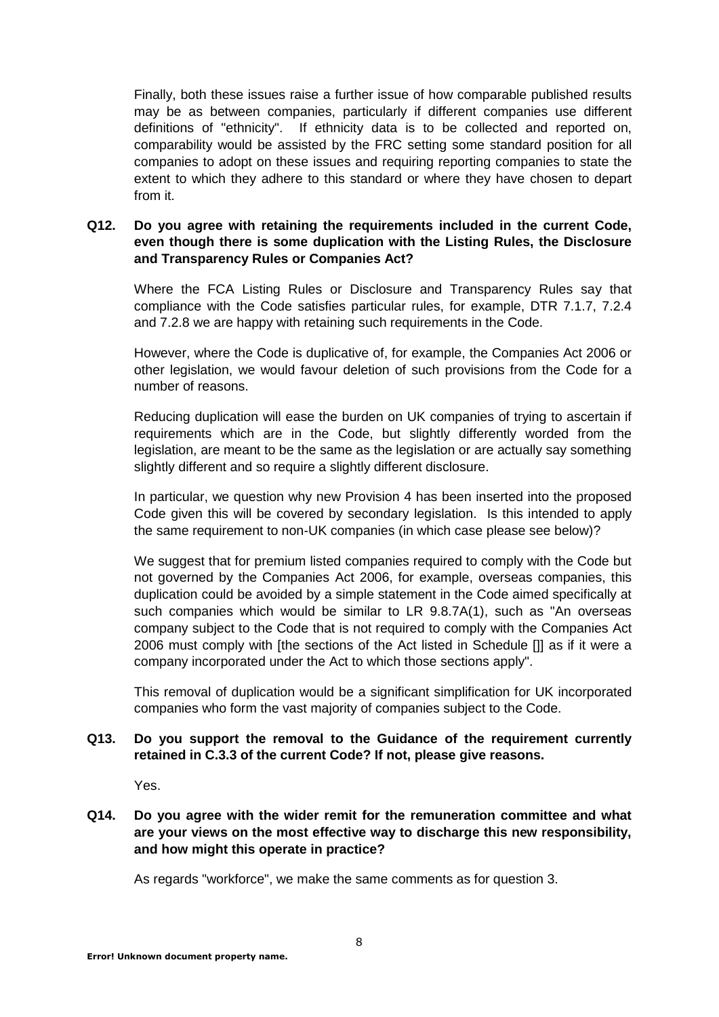Finally, both these issues raise a further issue of how comparable published results may be as between companies, particularly if different companies use different definitions of "ethnicity". If ethnicity data is to be collected and reported on, comparability would be assisted by the FRC setting some standard position for all companies to adopt on these issues and requiring reporting companies to state the extent to which they adhere to this standard or where they have chosen to depart from it.

## **Q12. Do you agree with retaining the requirements included in the current Code, even though there is some duplication with the Listing Rules, the Disclosure and Transparency Rules or Companies Act?**

Where the FCA Listing Rules or Disclosure and Transparency Rules say that compliance with the Code satisfies particular rules, for example, DTR 7.1.7, 7.2.4 and 7.2.8 we are happy with retaining such requirements in the Code.

However, where the Code is duplicative of, for example, the Companies Act 2006 or other legislation, we would favour deletion of such provisions from the Code for a number of reasons.

Reducing duplication will ease the burden on UK companies of trying to ascertain if requirements which are in the Code, but slightly differently worded from the legislation, are meant to be the same as the legislation or are actually say something slightly different and so require a slightly different disclosure.

In particular, we question why new Provision 4 has been inserted into the proposed Code given this will be covered by secondary legislation. Is this intended to apply the same requirement to non-UK companies (in which case please see below)?

We suggest that for premium listed companies required to comply with the Code but not governed by the Companies Act 2006, for example, overseas companies, this duplication could be avoided by a simple statement in the Code aimed specifically at such companies which would be similar to LR 9.8.7A(1), such as "An overseas company subject to the Code that is not required to comply with the Companies Act 2006 must comply with [the sections of the Act listed in Schedule []] as if it were a company incorporated under the Act to which those sections apply".

This removal of duplication would be a significant simplification for UK incorporated companies who form the vast majority of companies subject to the Code.

## **Q13. Do you support the removal to the Guidance of the requirement currently retained in C.3.3 of the current Code? If not, please give reasons.**

Yes.

## **Q14. Do you agree with the wider remit for the remuneration committee and what are your views on the most effective way to discharge this new responsibility, and how might this operate in practice?**

As regards "workforce", we make the same comments as for question 3.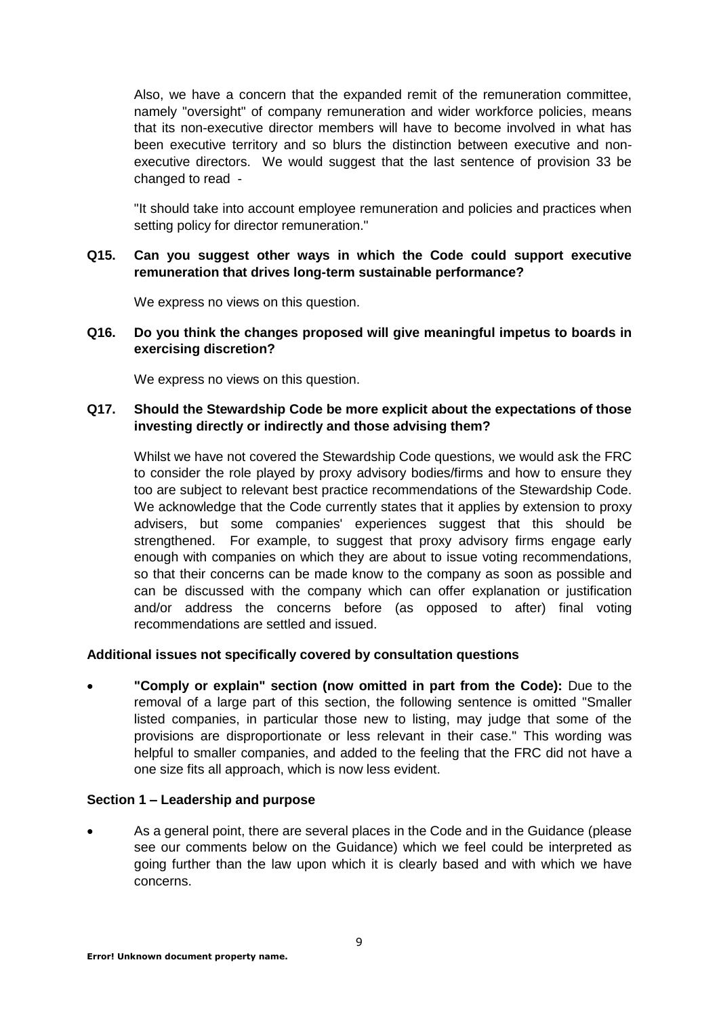Also, we have a concern that the expanded remit of the remuneration committee, namely "oversight" of company remuneration and wider workforce policies, means that its non-executive director members will have to become involved in what has been executive territory and so blurs the distinction between executive and nonexecutive directors. We would suggest that the last sentence of provision 33 be changed to read -

"It should take into account employee remuneration and policies and practices when setting policy for director remuneration."

**Q15. Can you suggest other ways in which the Code could support executive remuneration that drives long-term sustainable performance?**

We express no views on this question.

**Q16. Do you think the changes proposed will give meaningful impetus to boards in exercising discretion?**

We express no views on this question.

## **Q17. Should the Stewardship Code be more explicit about the expectations of those investing directly or indirectly and those advising them?**

Whilst we have not covered the Stewardship Code questions, we would ask the FRC to consider the role played by proxy advisory bodies/firms and how to ensure they too are subject to relevant best practice recommendations of the Stewardship Code. We acknowledge that the Code currently states that it applies by extension to proxy advisers, but some companies' experiences suggest that this should be strengthened. For example, to suggest that proxy advisory firms engage early enough with companies on which they are about to issue voting recommendations, so that their concerns can be made know to the company as soon as possible and can be discussed with the company which can offer explanation or justification and/or address the concerns before (as opposed to after) final voting recommendations are settled and issued.

## **Additional issues not specifically covered by consultation questions**

 **"Comply or explain" section (now omitted in part from the Code):** Due to the removal of a large part of this section, the following sentence is omitted "Smaller listed companies, in particular those new to listing, may judge that some of the provisions are disproportionate or less relevant in their case." This wording was helpful to smaller companies, and added to the feeling that the FRC did not have a one size fits all approach, which is now less evident.

## **Section 1 – Leadership and purpose**

 As a general point, there are several places in the Code and in the Guidance (please see our comments below on the Guidance) which we feel could be interpreted as going further than the law upon which it is clearly based and with which we have concerns.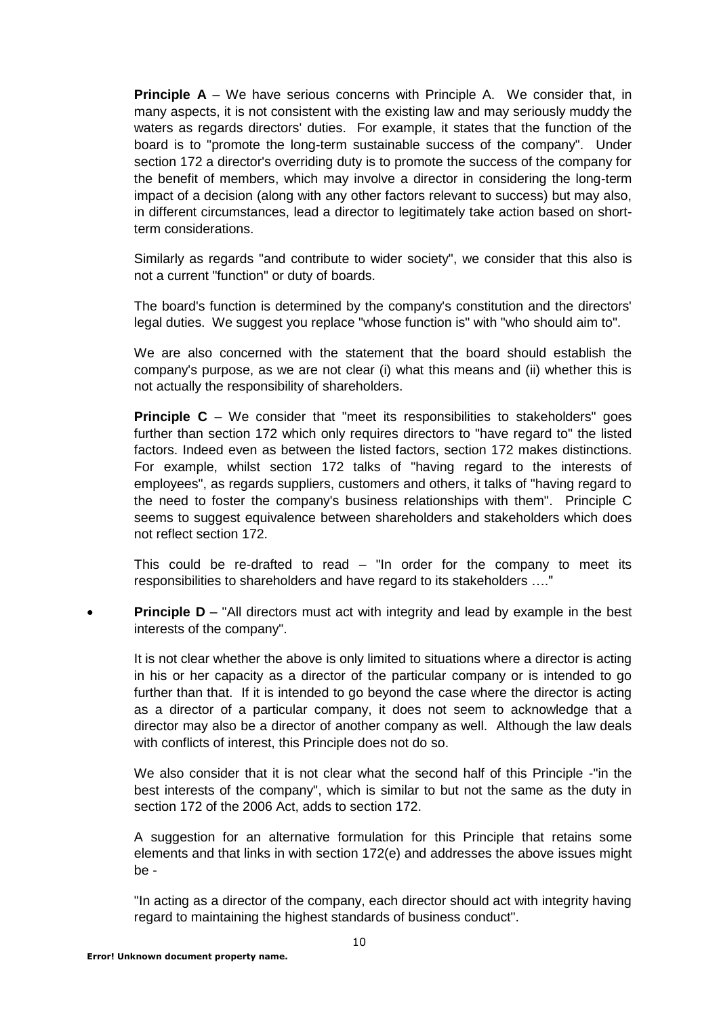**Principle A** – We have serious concerns with Principle A. We consider that, in many aspects, it is not consistent with the existing law and may seriously muddy the waters as regards directors' duties. For example, it states that the function of the board is to "promote the long-term sustainable success of the company". Under section 172 a director's overriding duty is to promote the success of the company for the benefit of members, which may involve a director in considering the long-term impact of a decision (along with any other factors relevant to success) but may also, in different circumstances, lead a director to legitimately take action based on shortterm considerations.

Similarly as regards "and contribute to wider society", we consider that this also is not a current "function" or duty of boards.

The board's function is determined by the company's constitution and the directors' legal duties. We suggest you replace "whose function is" with "who should aim to".

We are also concerned with the statement that the board should establish the company's purpose, as we are not clear (i) what this means and (ii) whether this is not actually the responsibility of shareholders.

**Principle C** – We consider that "meet its responsibilities to stakeholders" goes further than section 172 which only requires directors to "have regard to" the listed factors. Indeed even as between the listed factors, section 172 makes distinctions. For example, whilst section 172 talks of "having regard to the interests of employees", as regards suppliers, customers and others, it talks of "having regard to the need to foster the company's business relationships with them". Principle C seems to suggest equivalence between shareholders and stakeholders which does not reflect section 172.

This could be re-drafted to read – "In order for the company to meet its responsibilities to shareholders and have regard to its stakeholders …."

**Principle D** – "All directors must act with integrity and lead by example in the best interests of the company".

It is not clear whether the above is only limited to situations where a director is acting in his or her capacity as a director of the particular company or is intended to go further than that. If it is intended to go beyond the case where the director is acting as a director of a particular company, it does not seem to acknowledge that a director may also be a director of another company as well. Although the law deals with conflicts of interest, this Principle does not do so.

We also consider that it is not clear what the second half of this Principle -"in the best interests of the company", which is similar to but not the same as the duty in section 172 of the 2006 Act, adds to section 172.

A suggestion for an alternative formulation for this Principle that retains some elements and that links in with section 172(e) and addresses the above issues might be -

"In acting as a director of the company, each director should act with integrity having regard to maintaining the highest standards of business conduct".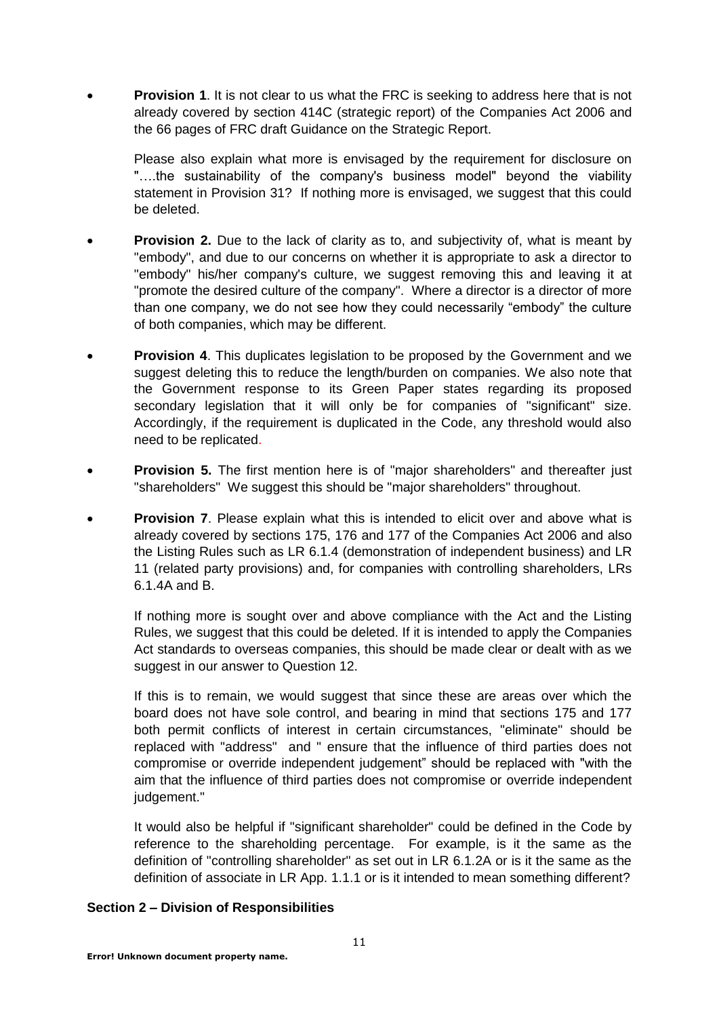**Provision 1**. It is not clear to us what the FRC is seeking to address here that is not already covered by section 414C (strategic report) of the Companies Act 2006 and the 66 pages of FRC draft Guidance on the Strategic Report.

Please also explain what more is envisaged by the requirement for disclosure on "....the sustainability of the company's business model" beyond the viability statement in Provision 31? If nothing more is envisaged, we suggest that this could be deleted.

- **Provision 2.** Due to the lack of clarity as to, and subjectivity of, what is meant by "embody", and due to our concerns on whether it is appropriate to ask a director to "embody" his/her company's culture, we suggest removing this and leaving it at "promote the desired culture of the company". Where a director is a director of more than one company, we do not see how they could necessarily "embody" the culture of both companies, which may be different.
- **Provision 4**. This duplicates legislation to be proposed by the Government and we suggest deleting this to reduce the length/burden on companies. We also note that the Government response to its Green Paper states regarding its proposed secondary legislation that it will only be for companies of "significant" size. Accordingly, if the requirement is duplicated in the Code, any threshold would also need to be replicated.
- **Provision 5.** The first mention here is of "major shareholders" and thereafter just "shareholders" We suggest this should be "major shareholders" throughout.
- **Provision 7**. Please explain what this is intended to elicit over and above what is already covered by sections 175, 176 and 177 of the Companies Act 2006 and also the Listing Rules such as LR 6.1.4 (demonstration of independent business) and LR 11 (related party provisions) and, for companies with controlling shareholders, LRs 6.1.4A and B.

If nothing more is sought over and above compliance with the Act and the Listing Rules, we suggest that this could be deleted. If it is intended to apply the Companies Act standards to overseas companies, this should be made clear or dealt with as we suggest in our answer to Question 12.

If this is to remain, we would suggest that since these are areas over which the board does not have sole control, and bearing in mind that sections 175 and 177 both permit conflicts of interest in certain circumstances, "eliminate" should be replaced with "address" and " ensure that the influence of third parties does not compromise or override independent judgement" should be replaced with "with the aim that the influence of third parties does not compromise or override independent judgement."

It would also be helpful if "significant shareholder" could be defined in the Code by reference to the shareholding percentage. For example, is it the same as the definition of "controlling shareholder" as set out in LR 6.1.2A or is it the same as the definition of associate in LR App. 1.1.1 or is it intended to mean something different?

## **Section 2 – Division of Responsibilities**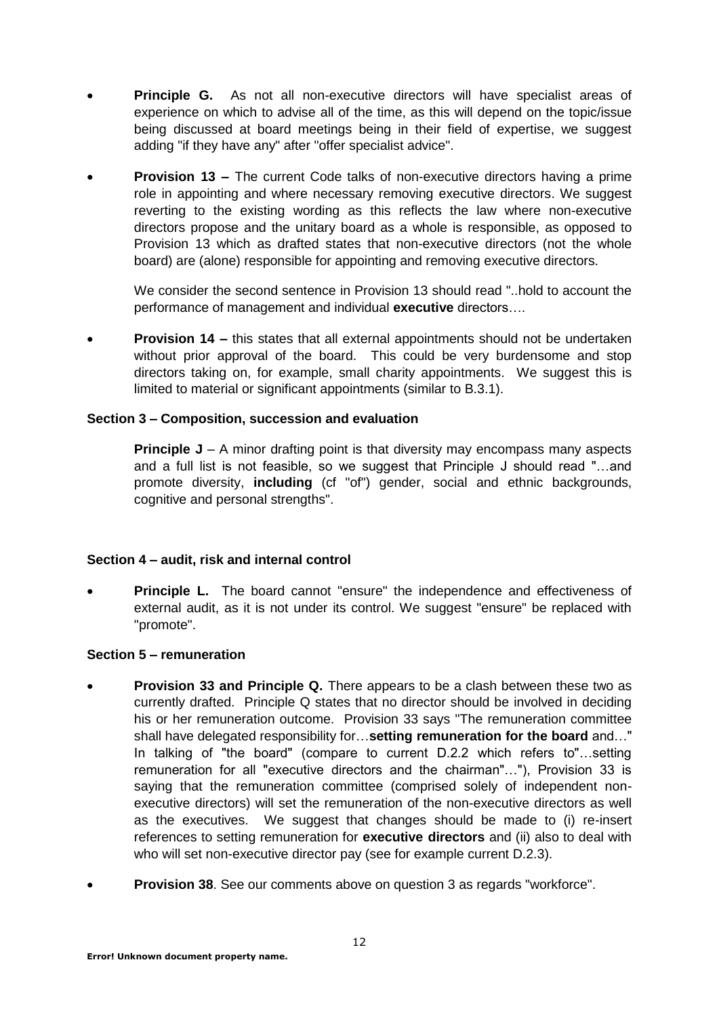- **Principle G.** As not all non-executive directors will have specialist areas of experience on which to advise all of the time, as this will depend on the topic/issue being discussed at board meetings being in their field of expertise, we suggest adding "if they have any" after "offer specialist advice".
- **Provision 13 –** The current Code talks of non-executive directors having a prime role in appointing and where necessary removing executive directors. We suggest reverting to the existing wording as this reflects the law where non-executive directors propose and the unitary board as a whole is responsible, as opposed to Provision 13 which as drafted states that non-executive directors (not the whole board) are (alone) responsible for appointing and removing executive directors.

We consider the second sentence in Provision 13 should read "..hold to account the performance of management and individual **executive** directors….

 **Provision 14 –** this states that all external appointments should not be undertaken without prior approval of the board. This could be very burdensome and stop directors taking on, for example, small charity appointments. We suggest this is limited to material or significant appointments (similar to B.3.1).

## **Section 3 – Composition, succession and evaluation**

**Principle J** – A minor drafting point is that diversity may encompass many aspects and a full list is not feasible, so we suggest that Principle J should read "…and promote diversity, **including** (cf "of") gender, social and ethnic backgrounds, cognitive and personal strengths".

## **Section 4 – audit, risk and internal control**

**Principle L.** The board cannot "ensure" the independence and effectiveness of external audit, as it is not under its control. We suggest "ensure" be replaced with "promote".

## **Section 5 – remuneration**

- **Provision 33 and Principle Q.** There appears to be a clash between these two as currently drafted. Principle Q states that no director should be involved in deciding his or her remuneration outcome. Provision 33 says "The remuneration committee shall have delegated responsibility for…**setting remuneration for the board** and…" In talking of "the board" (compare to current D.2.2 which refers to"…setting remuneration for all "executive directors and the chairman"…"), Provision 33 is saying that the remuneration committee (comprised solely of independent nonexecutive directors) will set the remuneration of the non-executive directors as well as the executives. We suggest that changes should be made to (i) re-insert references to setting remuneration for **executive directors** and (ii) also to deal with who will set non-executive director pay (see for example current D.2.3).
- **Provision 38**. See our comments above on question 3 as regards "workforce".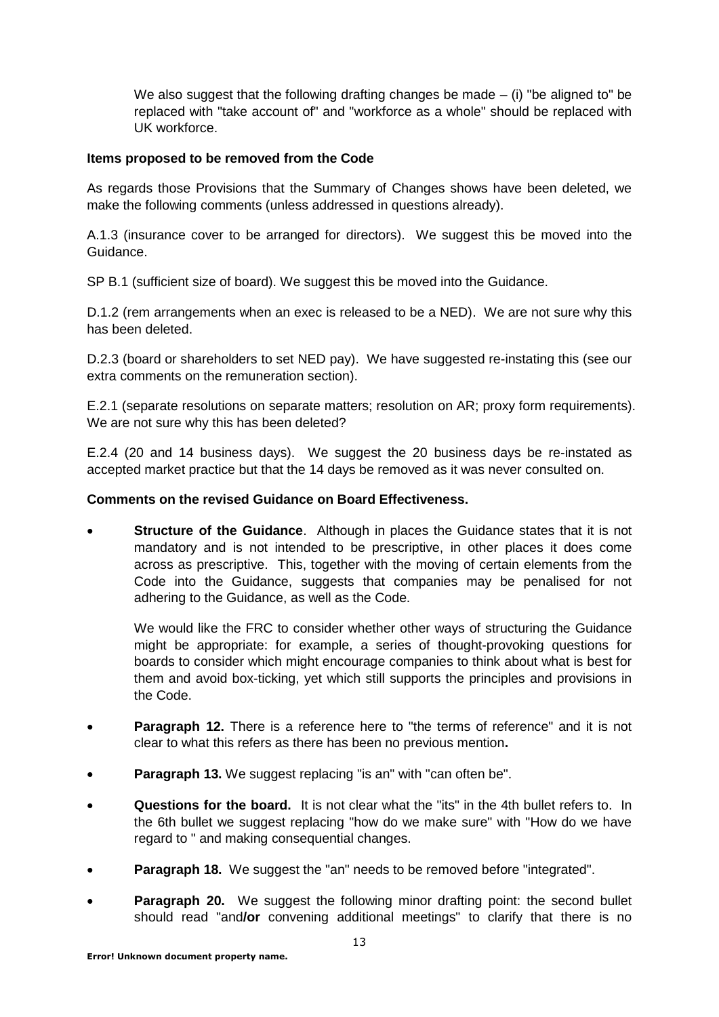We also suggest that the following drafting changes be made  $-$  (i) "be aligned to" be replaced with "take account of" and "workforce as a whole" should be replaced with UK workforce.

## **Items proposed to be removed from the Code**

As regards those Provisions that the Summary of Changes shows have been deleted, we make the following comments (unless addressed in questions already).

A.1.3 (insurance cover to be arranged for directors). We suggest this be moved into the Guidance.

SP B.1 (sufficient size of board). We suggest this be moved into the Guidance.

D.1.2 (rem arrangements when an exec is released to be a NED). We are not sure why this has been deleted.

D.2.3 (board or shareholders to set NED pay). We have suggested re-instating this (see our extra comments on the remuneration section).

E.2.1 (separate resolutions on separate matters; resolution on AR; proxy form requirements). We are not sure why this has been deleted?

E.2.4 (20 and 14 business days). We suggest the 20 business days be re-instated as accepted market practice but that the 14 days be removed as it was never consulted on.

## **Comments on the revised Guidance on Board Effectiveness.**

 **Structure of the Guidance**. Although in places the Guidance states that it is not mandatory and is not intended to be prescriptive, in other places it does come across as prescriptive. This, together with the moving of certain elements from the Code into the Guidance, suggests that companies may be penalised for not adhering to the Guidance, as well as the Code.

We would like the FRC to consider whether other ways of structuring the Guidance might be appropriate: for example, a series of thought-provoking questions for boards to consider which might encourage companies to think about what is best for them and avoid box-ticking, yet which still supports the principles and provisions in the Code.

- **Paragraph 12.** There is a reference here to "the terms of reference" and it is not clear to what this refers as there has been no previous mention**.**
- **Paragraph 13.** We suggest replacing "is an" with "can often be".
- **Questions for the board.** It is not clear what the "its" in the 4th bullet refers to. In the 6th bullet we suggest replacing "how do we make sure" with "How do we have regard to " and making consequential changes.
- **Paragraph 18.** We suggest the "an" needs to be removed before "integrated".
- **Paragraph 20.** We suggest the following minor drafting point: the second bullet should read "and**/or** convening additional meetings" to clarify that there is no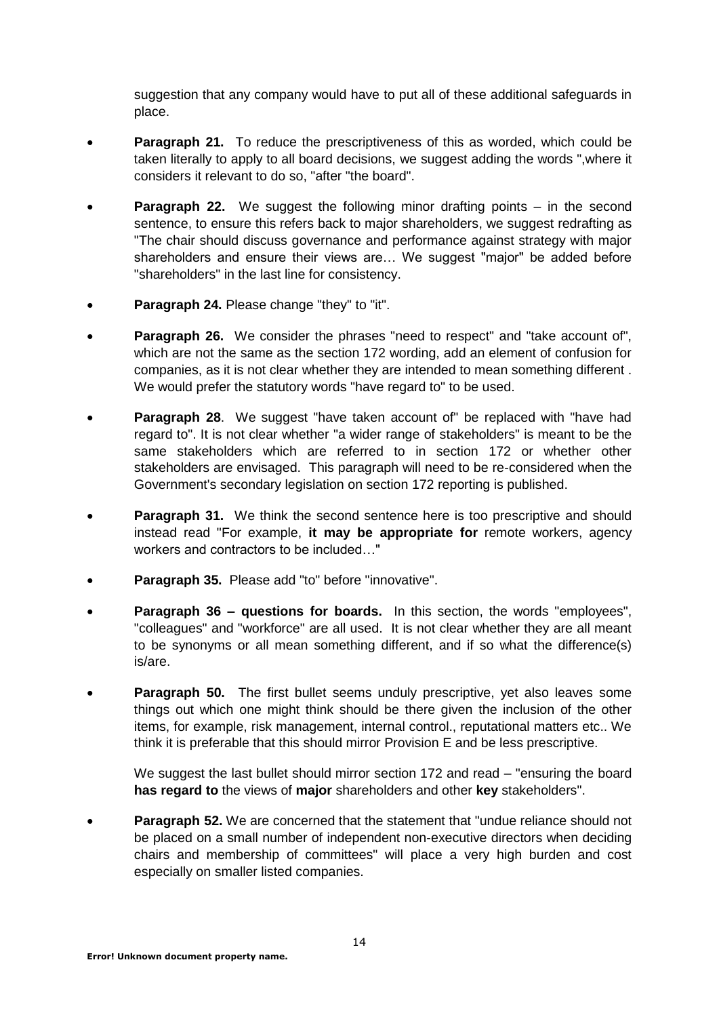suggestion that any company would have to put all of these additional safeguards in place.

- **Paragraph 21.** To reduce the prescriptiveness of this as worded, which could be taken literally to apply to all board decisions, we suggest adding the words ",where it considers it relevant to do so, "after "the board".
- **Paragraph 22.** We suggest the following minor drafting points in the second sentence, to ensure this refers back to major shareholders, we suggest redrafting as "The chair should discuss governance and performance against strategy with major shareholders and ensure their views are… We suggest "major" be added before "shareholders" in the last line for consistency.
- **Paragraph 24.** Please change "they" to "it".
- **Paragraph 26.** We consider the phrases "need to respect" and "take account of", which are not the same as the section 172 wording, add an element of confusion for companies, as it is not clear whether they are intended to mean something different . We would prefer the statutory words "have regard to" to be used.
- **Paragraph 28**. We suggest "have taken account of" be replaced with "have had regard to". It is not clear whether "a wider range of stakeholders" is meant to be the same stakeholders which are referred to in section 172 or whether other stakeholders are envisaged. This paragraph will need to be re-considered when the Government's secondary legislation on section 172 reporting is published.
- **Paragraph 31.** We think the second sentence here is too prescriptive and should instead read "For example, **it may be appropriate for** remote workers, agency workers and contractors to be included…"
- **Paragraph 35.** Please add "to" before "innovative".
- **Paragraph 36 – questions for boards.** In this section, the words "employees", "colleagues" and "workforce" are all used. It is not clear whether they are all meant to be synonyms or all mean something different, and if so what the difference(s) is/are.
- **Paragraph 50.** The first bullet seems unduly prescriptive, yet also leaves some things out which one might think should be there given the inclusion of the other items, for example, risk management, internal control., reputational matters etc.. We think it is preferable that this should mirror Provision E and be less prescriptive.

We suggest the last bullet should mirror section 172 and read – "ensuring the board" **has regard to** the views of **major** shareholders and other **key** stakeholders".

**Paragraph 52.** We are concerned that the statement that "undue reliance should not be placed on a small number of independent non-executive directors when deciding chairs and membership of committees" will place a very high burden and cost especially on smaller listed companies.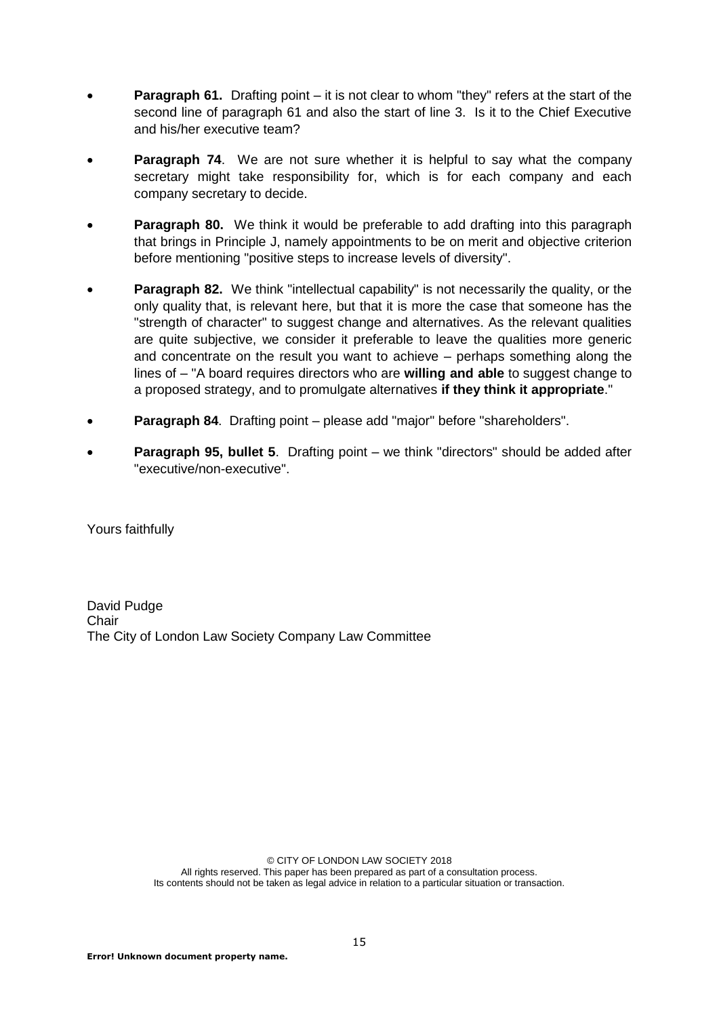- **Paragraph 61.** Drafting point it is not clear to whom "they" refers at the start of the second line of paragraph 61 and also the start of line 3. Is it to the Chief Executive and his/her executive team?
- **Paragraph 74.** We are not sure whether it is helpful to say what the company secretary might take responsibility for, which is for each company and each company secretary to decide.
- **Paragraph 80.** We think it would be preferable to add drafting into this paragraph that brings in Principle J, namely appointments to be on merit and objective criterion before mentioning "positive steps to increase levels of diversity".
- **Paragraph 82.** We think "intellectual capability" is not necessarily the quality, or the only quality that, is relevant here, but that it is more the case that someone has the "strength of character" to suggest change and alternatives. As the relevant qualities are quite subjective, we consider it preferable to leave the qualities more generic and concentrate on the result you want to achieve – perhaps something along the lines of – "A board requires directors who are **willing and able** to suggest change to a proposed strategy, and to promulgate alternatives **if they think it appropriate**."
- **Paragraph 84**. Drafting point please add "major" before "shareholders".
- **Paragraph 95, bullet 5.** Drafting point we think "directors" should be added after "executive/non-executive".

Yours faithfully

David Pudge **Chair** The City of London Law Society Company Law Committee

> © CITY OF LONDON LAW SOCIETY 2018 All rights reserved. This paper has been prepared as part of a consultation process. Its contents should not be taken as legal advice in relation to a particular situation or transaction.